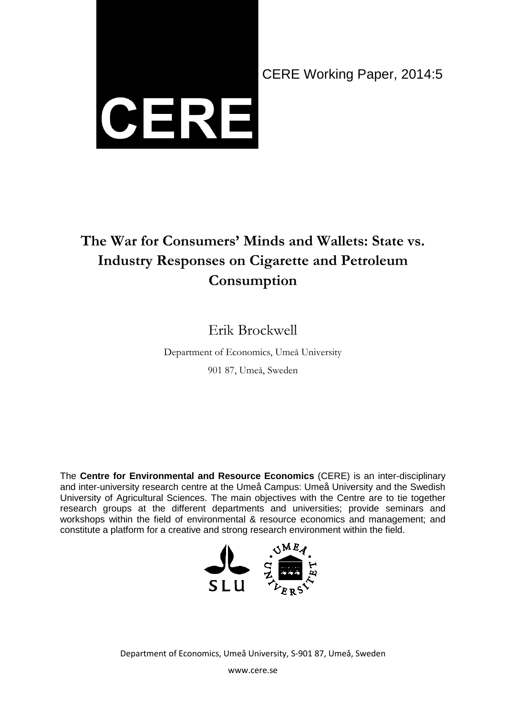

CERE Working Paper, 2014:5

# **The War for Consumers' Minds and Wallets: State vs. Industry Responses on Cigarette and Petroleum Consumption**

## Erik Brockwell

Department of Economics, Umeå University 901 87, Umeå, Sweden

The **Centre for Environmental and Resource Economics** (CERE) is an inter-disciplinary and inter-university research centre at the Umeå Campus: Umeå University and the Swedish University of Agricultural Sciences. The main objectives with the Centre are to tie together research groups at the different departments and universities; provide seminars and workshops within the field of environmental & resource economics and management; and constitute a platform for a creative and strong research environment within the field.



Department of Economics, Umeå University, S-901 87, Umeå, Sweden

www.cere.se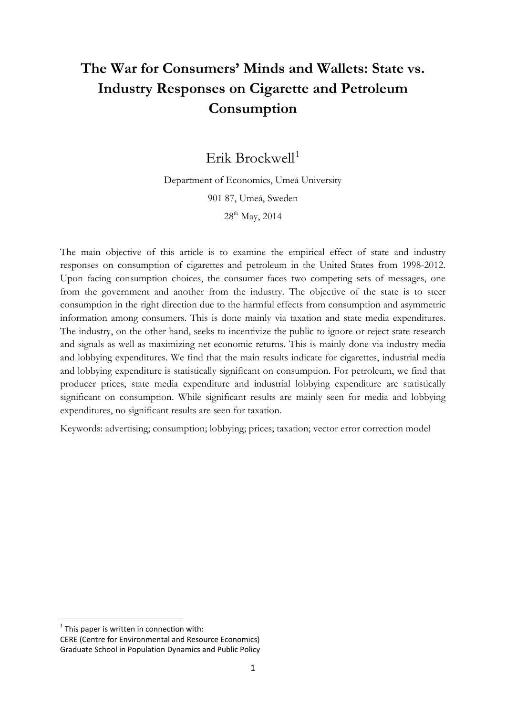## **The War for Consumers' Minds and Wallets: State vs. Industry Responses on Cigarette and Petroleum Consumption**

Erik Brockwell<sup>[1](#page-1-0)</sup>

Department of Economics, Umeå University 901 87, Umeå, Sweden 28<sup>th</sup> May, 2014

The main objective of this article is to examine the empirical effect of state and industry responses on consumption of cigarettes and petroleum in the United States from 1998-2012. Upon facing consumption choices, the consumer faces two competing sets of messages, one from the government and another from the industry. The objective of the state is to steer consumption in the right direction due to the harmful effects from consumption and asymmetric information among consumers. This is done mainly via taxation and state media expenditures. The industry, on the other hand, seeks to incentivize the public to ignore or reject state research and signals as well as maximizing net economic returns. This is mainly done via industry media and lobbying expenditures. We find that the main results indicate for cigarettes, industrial media and lobbying expenditure is statistically significant on consumption. For petroleum, we find that producer prices, state media expenditure and industrial lobbying expenditure are statistically significant on consumption. While significant results are mainly seen for media and lobbying expenditures, no significant results are seen for taxation.

Keywords: advertising; consumption; lobbying; prices; taxation; vector error correction model

<span id="page-1-0"></span> $1$ <sup>1</sup> This paper is written in connection with:

CERE (Centre for Environmental and Resource Economics) Graduate School in Population Dynamics and Public Policy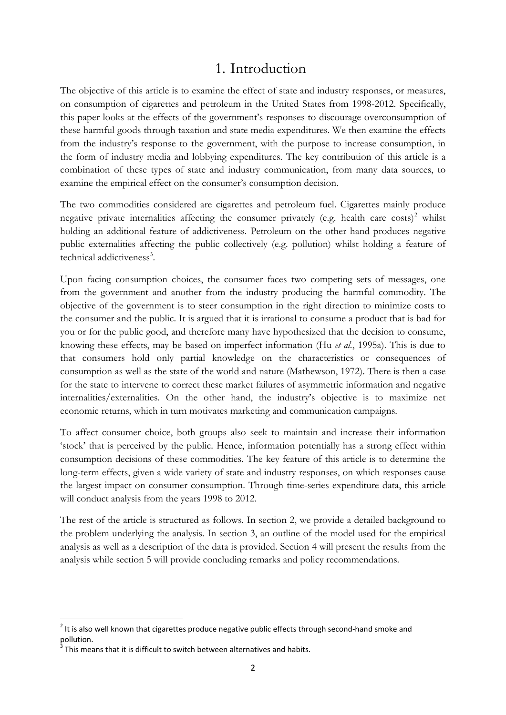## 1. Introduction

The objective of this article is to examine the effect of state and industry responses, or measures, on consumption of cigarettes and petroleum in the United States from 1998-2012. Specifically, this paper looks at the effects of the government's responses to discourage overconsumption of these harmful goods through taxation and state media expenditures. We then examine the effects from the industry's response to the government, with the purpose to increase consumption, in the form of industry media and lobbying expenditures. The key contribution of this article is a combination of these types of state and industry communication, from many data sources, to examine the empirical effect on the consumer's consumption decision.

The two commodities considered are cigarettes and petroleum fuel. Cigarettes mainly produce negative private internalities affecting the consumer privately (e.g. health care  $costs$ )<sup>[2](#page-2-0)</sup> whilst holding an additional feature of addictiveness. Petroleum on the other hand produces negative public externalities affecting the public collectively (e.g. pollution) whilst holding a feature of technical addictiveness<sup>[3](#page-2-1)</sup>.

Upon facing consumption choices, the consumer faces two competing sets of messages, one from the government and another from the industry producing the harmful commodity. The objective of the government is to steer consumption in the right direction to minimize costs to the consumer and the public. It is argued that it is irrational to consume a product that is bad for you or for the public good, and therefore many have hypothesized that the decision to consume, knowing these effects, may be based on imperfect information (Hu *et al.*, 1995a). This is due to that consumers hold only partial knowledge on the characteristics or consequences of consumption as well as the state of the world and nature (Mathewson, 1972). There is then a case for the state to intervene to correct these market failures of asymmetric information and negative internalities/externalities. On the other hand, the industry's objective is to maximize net economic returns, which in turn motivates marketing and communication campaigns.

To affect consumer choice, both groups also seek to maintain and increase their information 'stock' that is perceived by the public. Hence, information potentially has a strong effect within consumption decisions of these commodities. The key feature of this article is to determine the long-term effects, given a wide variety of state and industry responses, on which responses cause the largest impact on consumer consumption. Through time-series expenditure data, this article will conduct analysis from the years 1998 to 2012.

The rest of the article is structured as follows. In section 2, we provide a detailed background to the problem underlying the analysis. In section 3, an outline of the model used for the empirical analysis as well as a description of the data is provided. Section 4 will present the results from the analysis while section 5 will provide concluding remarks and policy recommendations.

<span id="page-2-0"></span> $<sup>2</sup>$  It is also well known that cigarettes produce negative public effects through second-hand smoke and</sup> pollution.

<span id="page-2-1"></span>This means that it is difficult to switch between alternatives and habits.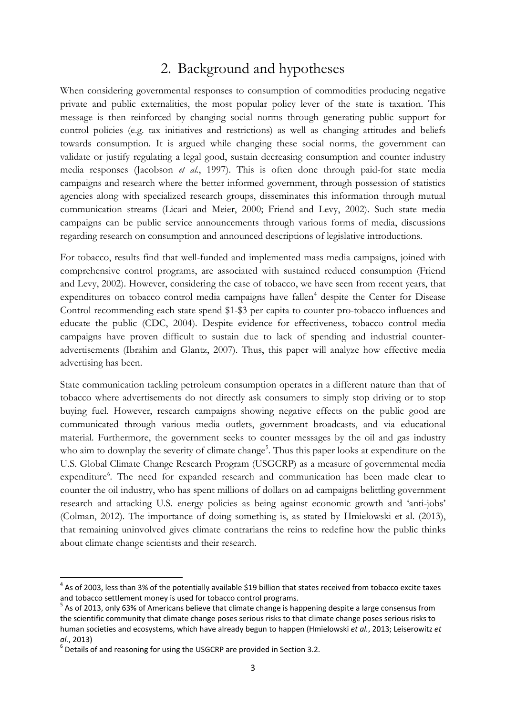## 2. Background and hypotheses

When considering governmental responses to consumption of commodities producing negative private and public externalities, the most popular policy lever of the state is taxation. This message is then reinforced by changing social norms through generating public support for control policies (e.g. tax initiatives and restrictions) as well as changing attitudes and beliefs towards consumption. It is argued while changing these social norms, the government can validate or justify regulating a legal good, sustain decreasing consumption and counter industry media responses (Jacobson *et al.*, 1997). This is often done through paid-for state media campaigns and research where the better informed government, through possession of statistics agencies along with specialized research groups, disseminates this information through mutual communication streams (Licari and Meier, 2000; Friend and Levy, 2002). Such state media campaigns can be public service announcements through various forms of media, discussions regarding research on consumption and announced descriptions of legislative introductions.

For tobacco, results find that well-funded and implemented mass media campaigns, joined with comprehensive control programs, are associated with sustained reduced consumption (Friend and Levy, 2002). However, considering the case of tobacco, we have seen from recent years, that expenditures on tobacco control media campaigns have fallen<sup>[4](#page-3-0)</sup> despite the Center for Disease Control recommending each state spend \$1-\$3 per capita to counter pro-tobacco influences and educate the public (CDC, 2004). Despite evidence for effectiveness, tobacco control media campaigns have proven difficult to sustain due to lack of spending and industrial counteradvertisements (Ibrahim and Glantz, 2007). Thus, this paper will analyze how effective media advertising has been.

State communication tackling petroleum consumption operates in a different nature than that of tobacco where advertisements do not directly ask consumers to simply stop driving or to stop buying fuel. However, research campaigns showing negative effects on the public good are communicated through various media outlets, government broadcasts, and via educational material. Furthermore, the government seeks to counter messages by the oil and gas industry who aim to downplay the severity of climate change<sup>[5](#page-3-1)</sup>. Thus this paper looks at expenditure on the U.S. Global Climate Change Research Program (USGCRP) as a measure of governmental media expenditure<sup>[6](#page-3-2)</sup>. The need for expanded research and communication has been made clear to counter the oil industry, who has spent millions of dollars on ad campaigns belittling government research and attacking U.S. energy policies as being against economic growth and 'anti-jobs' (Colman, 2012). The importance of doing something is, as stated by Hmielowski et al. (2013), that remaining uninvolved gives climate contrarians the reins to redefine how the public thinks about climate change scientists and their research.

<span id="page-3-0"></span> $4$  As of 2003, less than 3% of the potentially available \$19 billion that states received from tobacco excite taxes and tobacco settlement money is used for tobacco control programs.

<span id="page-3-1"></span><sup>&</sup>lt;sup>5</sup> As of 2013, only 63% of Americans believe that climate change is happening despite a large consensus from the scientific community that climate change poses serious risks to that climate change poses serious risks to human societies and ecosystems, which have already begun to happen (Hmielowski *et al.*, 2013; Leiserowitz *et* 

<span id="page-3-2"></span>*al.*, 2013)<br><sup>6</sup> Details of and reasoning for using the USGCRP are provided in Section 3.2.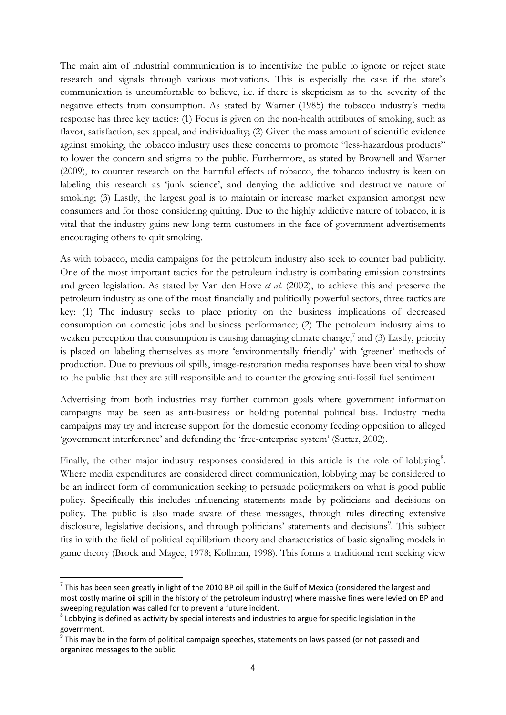The main aim of industrial communication is to incentivize the public to ignore or reject state research and signals through various motivations. This is especially the case if the state's communication is uncomfortable to believe, i.e. if there is skepticism as to the severity of the negative effects from consumption. As stated by Warner (1985) the tobacco industry's media response has three key tactics: (1) Focus is given on the non-health attributes of smoking, such as flavor, satisfaction, sex appeal, and individuality; (2) Given the mass amount of scientific evidence against smoking, the tobacco industry uses these concerns to promote "less-hazardous products" to lower the concern and stigma to the public. Furthermore, as stated by Brownell and Warner (2009), to counter research on the harmful effects of tobacco, the tobacco industry is keen on labeling this research as 'junk science', and denying the addictive and destructive nature of smoking; (3) Lastly, the largest goal is to maintain or increase market expansion amongst new consumers and for those considering quitting. Due to the highly addictive nature of tobacco, it is vital that the industry gains new long-term customers in the face of government advertisements encouraging others to quit smoking.

As with tobacco, media campaigns for the petroleum industry also seek to counter bad publicity. One of the most important tactics for the petroleum industry is combating emission constraints and green legislation. As stated by Van den Hove *et al.* (2002), to achieve this and preserve the petroleum industry as one of the most financially and politically powerful sectors, three tactics are key: (1) The industry seeks to place priority on the business implications of decreased consumption on domestic jobs and business performance; (2) The petroleum industry aims to weaken perception that consumption is causing damaging climate change;<sup>[7](#page-4-0)</sup> and (3) Lastly, priority is placed on labeling themselves as more 'environmentally friendly' with 'greener' methods of production. Due to previous oil spills, image-restoration media responses have been vital to show to the public that they are still responsible and to counter the growing anti-fossil fuel sentiment

Advertising from both industries may further common goals where government information campaigns may be seen as anti-business or holding potential political bias. Industry media campaigns may try and increase support for the domestic economy feeding opposition to alleged 'government interference' and defending the 'free-enterprise system' (Sutter, 2002).

Finally, the other major industry responses considered in this article is the role of lobbying<sup>[8](#page-4-1)</sup>. Where media expenditures are considered direct communication, lobbying may be considered to be an indirect form of communication seeking to persuade policymakers on what is good public policy. Specifically this includes influencing statements made by politicians and decisions on policy. The public is also made aware of these messages, through rules directing extensive disclosure, legislative decisions, and through politicians' statements and decisions<sup>[9](#page-4-2)</sup>. This subject fits in with the field of political equilibrium theory and characteristics of basic signaling models in game theory (Brock and Magee, 1978; Kollman, 1998). This forms a traditional rent seeking view

<span id="page-4-0"></span> $7$  This has been seen greatly in light of the 2010 BP oil spill in the Gulf of Mexico (considered the largest and most costly marine oil spill in the history of the petroleum industry) where massive fines were levied on BP and sweeping regulation was called for to prevent a future incident.

<span id="page-4-1"></span> $8$  Lobbying is defined as activity by special interests and industries to argue for specific legislation in the government.

<span id="page-4-2"></span> $<sup>9</sup>$  This may be in the form of political campaign speeches, statements on laws passed (or not passed) and</sup> organized messages to the public.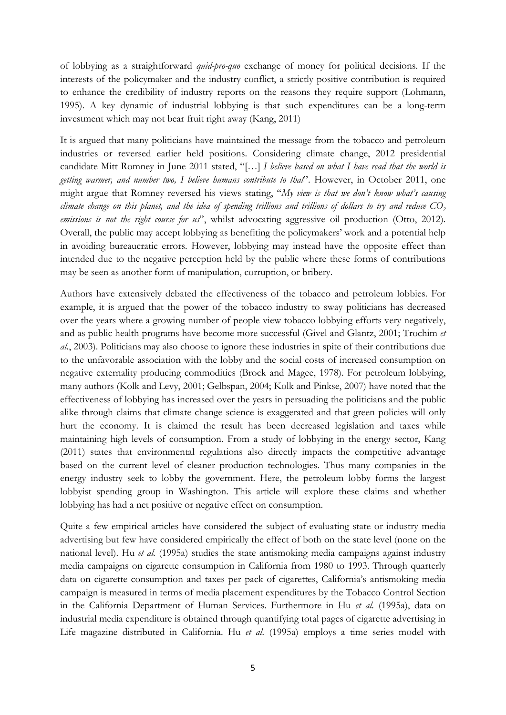of lobbying as a straightforward *quid-pro-quo* exchange of money for political decisions. If the interests of the policymaker and the industry conflict, a strictly positive contribution is required to enhance the credibility of industry reports on the reasons they require support (Lohmann, 1995). A key dynamic of industrial lobbying is that such expenditures can be a long-term investment which may not bear fruit right away (Kang, 2011)

It is argued that many politicians have maintained the message from the tobacco and petroleum industries or reversed earlier held positions. Considering climate change, 2012 presidential candidate Mitt Romney in June 2011 stated, "[…] *I believe based on what I have read that the world is getting warmer, and number two, I believe humans contribute to that*". However, in October 2011, one might argue that Romney reversed his views stating, "*My view is that we don't know what's causing climate change on this planet, and the idea of spending trillions and trillions of dollars to try and reduce*  $CO<sub>2</sub>$ *emissions is not the right course for us*", whilst advocating aggressive oil production (Otto, 2012). Overall, the public may accept lobbying as benefiting the policymakers' work and a potential help in avoiding bureaucratic errors. However, lobbying may instead have the opposite effect than intended due to the negative perception held by the public where these forms of contributions may be seen as another form of manipulation, corruption, or bribery.

Authors have extensively debated the effectiveness of the tobacco and petroleum lobbies. For example, it is argued that the power of the tobacco industry to sway politicians has decreased over the years where a growing number of people view tobacco lobbying efforts very negatively, and as public health programs have become more successful (Givel and Glantz, 2001; Trochim *et al.*, 2003). Politicians may also choose to ignore these industries in spite of their contributions due to the unfavorable association with the lobby and the social costs of increased consumption on negative externality producing commodities (Brock and Magee, 1978). For petroleum lobbying, many authors (Kolk and Levy, 2001; Gelbspan, 2004; Kolk and Pinkse, 2007) have noted that the effectiveness of lobbying has increased over the years in persuading the politicians and the public alike through claims that climate change science is exaggerated and that green policies will only hurt the economy. It is claimed the result has been decreased legislation and taxes while maintaining high levels of consumption. From a study of lobbying in the energy sector, Kang (2011) states that environmental regulations also directly impacts the competitive advantage based on the current level of cleaner production technologies. Thus many companies in the energy industry seek to lobby the government. Here, the petroleum lobby forms the largest lobbyist spending group in Washington. This article will explore these claims and whether lobbying has had a net positive or negative effect on consumption.

Quite a few empirical articles have considered the subject of evaluating state or industry media advertising but few have considered empirically the effect of both on the state level (none on the national level). Hu *et al.* (1995a) studies the state antismoking media campaigns against industry media campaigns on cigarette consumption in California from 1980 to 1993. Through quarterly data on cigarette consumption and taxes per pack of cigarettes, California's antismoking media campaign is measured in terms of media placement expenditures by the Tobacco Control Section in the California Department of Human Services. Furthermore in Hu *et al.* (1995a), data on industrial media expenditure is obtained through quantifying total pages of cigarette advertising in Life magazine distributed in California. Hu *et al.* (1995a) employs a time series model with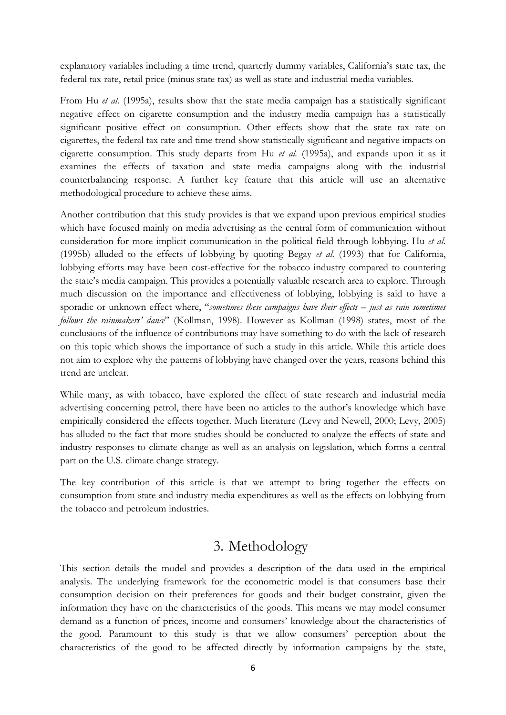explanatory variables including a time trend, quarterly dummy variables, California's state tax, the federal tax rate, retail price (minus state tax) as well as state and industrial media variables.

From Hu *et al.* (1995a), results show that the state media campaign has a statistically significant negative effect on cigarette consumption and the industry media campaign has a statistically significant positive effect on consumption. Other effects show that the state tax rate on cigarettes, the federal tax rate and time trend show statistically significant and negative impacts on cigarette consumption. This study departs from Hu *et al.* (1995a), and expands upon it as it examines the effects of taxation and state media campaigns along with the industrial counterbalancing response. A further key feature that this article will use an alternative methodological procedure to achieve these aims.

Another contribution that this study provides is that we expand upon previous empirical studies which have focused mainly on media advertising as the central form of communication without consideration for more implicit communication in the political field through lobbying. Hu *et al.* (1995b) alluded to the effects of lobbying by quoting Begay *et al.* (1993) that for California, lobbying efforts may have been cost-effective for the tobacco industry compared to countering the state's media campaign. This provides a potentially valuable research area to explore. Through much discussion on the importance and effectiveness of lobbying, lobbying is said to have a sporadic or unknown effect where, "*sometimes these campaigns have their effects – just as rain sometimes follows the rainmakers' dance*" (Kollman, 1998). However as Kollman (1998) states, most of the conclusions of the influence of contributions may have something to do with the lack of research on this topic which shows the importance of such a study in this article. While this article does not aim to explore why the patterns of lobbying have changed over the years, reasons behind this trend are unclear.

While many, as with tobacco, have explored the effect of state research and industrial media advertising concerning petrol, there have been no articles to the author's knowledge which have empirically considered the effects together. Much literature (Levy and Newell, 2000; Levy, 2005) has alluded to the fact that more studies should be conducted to analyze the effects of state and industry responses to climate change as well as an analysis on legislation, which forms a central part on the U.S. climate change strategy.

The key contribution of this article is that we attempt to bring together the effects on consumption from state and industry media expenditures as well as the effects on lobbying from the tobacco and petroleum industries.

## 3. Methodology

This section details the model and provides a description of the data used in the empirical analysis. The underlying framework for the econometric model is that consumers base their consumption decision on their preferences for goods and their budget constraint, given the information they have on the characteristics of the goods. This means we may model consumer demand as a function of prices, income and consumers' knowledge about the characteristics of the good. Paramount to this study is that we allow consumers' perception about the characteristics of the good to be affected directly by information campaigns by the state,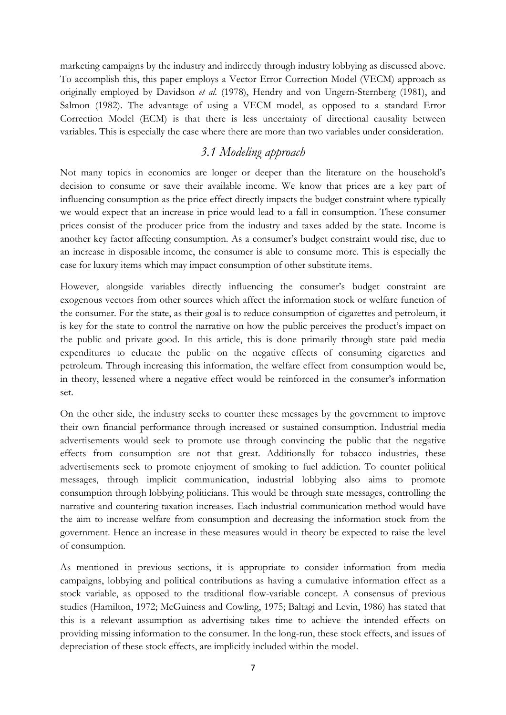marketing campaigns by the industry and indirectly through industry lobbying as discussed above. To accomplish this, this paper employs a Vector Error Correction Model (VECM) approach as originally employed by Davidson *et al.* (1978), Hendry and von Ungern-Sternberg (1981), and Salmon (1982). The advantage of using a VECM model, as opposed to a standard Error Correction Model (ECM) is that there is less uncertainty of directional causality between variables. This is especially the case where there are more than two variables under consideration.

## *3.1 Modeling approach*

Not many topics in economics are longer or deeper than the literature on the household's decision to consume or save their available income. We know that prices are a key part of influencing consumption as the price effect directly impacts the budget constraint where typically we would expect that an increase in price would lead to a fall in consumption. These consumer prices consist of the producer price from the industry and taxes added by the state. Income is another key factor affecting consumption. As a consumer's budget constraint would rise, due to an increase in disposable income, the consumer is able to consume more. This is especially the case for luxury items which may impact consumption of other substitute items.

However, alongside variables directly influencing the consumer's budget constraint are exogenous vectors from other sources which affect the information stock or welfare function of the consumer. For the state, as their goal is to reduce consumption of cigarettes and petroleum, it is key for the state to control the narrative on how the public perceives the product's impact on the public and private good. In this article, this is done primarily through state paid media expenditures to educate the public on the negative effects of consuming cigarettes and petroleum. Through increasing this information, the welfare effect from consumption would be, in theory, lessened where a negative effect would be reinforced in the consumer's information set.

On the other side, the industry seeks to counter these messages by the government to improve their own financial performance through increased or sustained consumption. Industrial media advertisements would seek to promote use through convincing the public that the negative effects from consumption are not that great. Additionally for tobacco industries, these advertisements seek to promote enjoyment of smoking to fuel addiction. To counter political messages, through implicit communication, industrial lobbying also aims to promote consumption through lobbying politicians. This would be through state messages, controlling the narrative and countering taxation increases. Each industrial communication method would have the aim to increase welfare from consumption and decreasing the information stock from the government. Hence an increase in these measures would in theory be expected to raise the level of consumption.

As mentioned in previous sections, it is appropriate to consider information from media campaigns, lobbying and political contributions as having a cumulative information effect as a stock variable, as opposed to the traditional flow-variable concept. A consensus of previous studies (Hamilton, 1972; McGuiness and Cowling, 1975; Baltagi and Levin, 1986) has stated that this is a relevant assumption as advertising takes time to achieve the intended effects on providing missing information to the consumer. In the long-run, these stock effects, and issues of depreciation of these stock effects, are implicitly included within the model.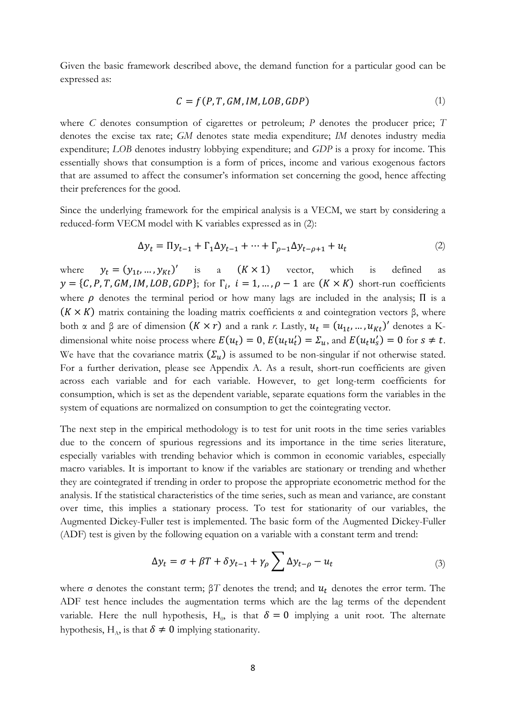Given the basic framework described above, the demand function for a particular good can be expressed as:

$$
C = f(P, T, GM, IM, LOB, GDP)
$$
\n<sup>(1)</sup>

where *C* denotes consumption of cigarettes or petroleum; *P* denotes the producer price; *T* denotes the excise tax rate; *GM* denotes state media expenditure; *IM* denotes industry media expenditure; *LOB* denotes industry lobbying expenditure; and *GDP* is a proxy for income. This essentially shows that consumption is a form of prices, income and various exogenous factors that are assumed to affect the consumer's information set concerning the good, hence affecting their preferences for the good.

Since the underlying framework for the empirical analysis is a VECM, we start by considering a reduced-form VECM model with K variables expressed as in (2):

$$
\Delta y_t = \Pi y_{t-1} + \Gamma_1 \Delta y_{t-1} + \dots + \Gamma_{\rho-1} \Delta y_{t-\rho+1} + u_t \tag{2}
$$

where  $y_t = (y_{1t}, ..., y_{Kt})'$  is a  $(K \times 1)$  vector, which is defined as  $y = \{C, P, T, GM, IM, LOB, GDP\};$  for  $\Gamma_i$ ,  $i = 1, ..., \rho - 1$  are  $(K \times K)$  short-run coefficients where  $\rho$  denotes the terminal period or how many lags are included in the analysis;  $\Pi$  is a  $(K \times K)$  matrix containing the loading matrix coefficients  $\alpha$  and cointegration vectors  $\beta$ , where both  $\alpha$  and  $\beta$  are of dimension  $(K \times r)$  and a rank *r*. Lastly,  $u_t = (u_{1t}, ..., u_{Kt})'$  denotes a Kdimensional white noise process where  $E(u_t) = 0$ ,  $E(u_t u_t') = \Sigma_u$ , and  $E(u_t u_s') = 0$  for  $s \neq t$ . We have that the covariance matrix  $(\Sigma_u)$  is assumed to be non-singular if not otherwise stated. For a further derivation, please see Appendix A. As a result, short-run coefficients are given across each variable and for each variable. However, to get long-term coefficients for consumption, which is set as the dependent variable, separate equations form the variables in the system of equations are normalized on consumption to get the cointegrating vector.

The next step in the empirical methodology is to test for unit roots in the time series variables due to the concern of spurious regressions and its importance in the time series literature, especially variables with trending behavior which is common in economic variables, especially macro variables. It is important to know if the variables are stationary or trending and whether they are cointegrated if trending in order to propose the appropriate econometric method for the analysis. If the statistical characteristics of the time series, such as mean and variance, are constant over time, this implies a stationary process. To test for stationarity of our variables, the Augmented Dickey-Fuller test is implemented. The basic form of the Augmented Dickey-Fuller (ADF) test is given by the following equation on a variable with a constant term and trend:

$$
\Delta y_t = \sigma + \beta T + \delta y_{t-1} + \gamma_\rho \sum \Delta y_{t-\rho} - u_t \tag{3}
$$

where  $\sigma$  denotes the constant term;  $\beta T$  denotes the trend; and  $u_t$  denotes the error term. The ADF test hence includes the augmentation terms which are the lag terms of the dependent variable. Here the null hypothesis, H<sub>0</sub>, is that  $\delta = 0$  implying a unit root. The alternate hypothesis, H<sub>A</sub>, is that  $\delta \neq 0$  implying stationarity.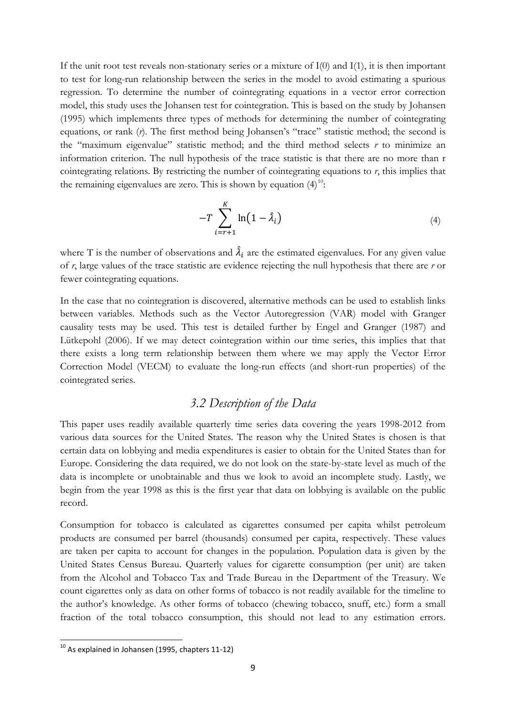If the unit root test reveals non-stationary series or a mixture of I(0) and I(1), it is then important to test for long-run relationship between the series in the model to avoid estimating a spurious regression. To determine the number of cointegrating equations in a vector error correction model, this study uses the Johansen test for cointegration. This is based on the study by Johansen (1995) which implements three types of methods for determining the number of cointegrating equations, or rank (*r*). The first method being Johansen's "trace" statistic method; the second is the "maximum eigenvalue" statistic method; and the third method selects *r* to minimize an information criterion. The null hypothesis of the trace statistic is that there are no more than r cointegrating relations. By restricting the number of cointegrating equations to  $r$ , this implies that the remaining eigenvalues are zero. This is shown by equation  $(4)^{10}$  $(4)^{10}$  $(4)^{10}$ :

$$
-T\sum_{i=r+1}^{K}\ln(1-\hat{\lambda}_i)
$$
\n(4)

where T is the number of observations and  $\lambda_i$  are the estimated eigenvalues. For any given value of *r*, large values of the trace statistic are evidence rejecting the null hypothesis that there are *r* or fewer cointegrating equations.

In the case that no cointegration is discovered, alternative methods can be used to establish links between variables. Methods such as the Vector Autoregression (VAR) model with Granger causality tests may be used. This test is detailed further by Engel and Granger (1987) and Lütkepohl (2006). If we may detect cointegration within our time series, this implies that that there exists a long term relationship between them where we may apply the Vector Error Correction Model (VECM) to evaluate the long-run effects (and short-run properties) of the cointegrated series.

### *3.2 Description of the Data*

This paper uses readily available quarterly time series data covering the years 1998-2012 from various data sources for the United States. The reason why the United States is chosen is that certain data on lobbying and media expenditures is easier to obtain for the United States than for Europe. Considering the data required, we do not look on the state-by-state level as much of the data is incomplete or unobtainable and thus we look to avoid an incomplete study. Lastly, we begin from the year 1998 as this is the first year that data on lobbying is available on the public record.

Consumption for tobacco is calculated as cigarettes consumed per capita whilst petroleum products are consumed per barrel (thousands) consumed per capita, respectively. These values are taken per capita to account for changes in the population. Population data is given by the United States Census Bureau. Quarterly values for cigarette consumption (per unit) are taken from the Alcohol and Tobacco Tax and Trade Bureau in the Department of the Treasury. We count cigarettes only as data on other forms of tobacco is not readily available for the timeline to the author's knowledge. As other forms of tobacco (chewing tobacco, snuff, etc.) form a small fraction of the total tobacco consumption, this should not lead to any estimation errors.

<span id="page-9-0"></span> $10$  As explained in Johansen (1995, chapters 11-12)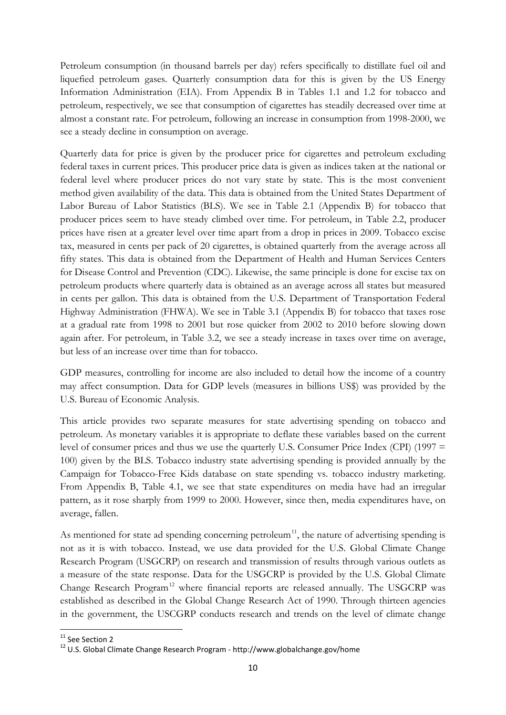Petroleum consumption (in thousand barrels per day) refers specifically to distillate fuel oil and liquefied petroleum gases. Quarterly consumption data for this is given by the US Energy Information Administration (EIA). From Appendix B in Tables 1.1 and 1.2 for tobacco and petroleum, respectively, we see that consumption of cigarettes has steadily decreased over time at almost a constant rate. For petroleum, following an increase in consumption from 1998-2000, we see a steady decline in consumption on average.

Quarterly data for price is given by the producer price for cigarettes and petroleum excluding federal taxes in current prices. This producer price data is given as indices taken at the national or federal level where producer prices do not vary state by state. This is the most convenient method given availability of the data. This data is obtained from the United States Department of Labor Bureau of Labor Statistics (BLS). We see in Table 2.1 (Appendix B) for tobacco that producer prices seem to have steady climbed over time. For petroleum, in Table 2.2, producer prices have risen at a greater level over time apart from a drop in prices in 2009. Tobacco excise tax, measured in cents per pack of 20 cigarettes, is obtained quarterly from the average across all fifty states. This data is obtained from the Department of Health and Human Services Centers for Disease Control and Prevention (CDC). Likewise, the same principle is done for excise tax on petroleum products where quarterly data is obtained as an average across all states but measured in cents per gallon. This data is obtained from the U.S. Department of Transportation Federal Highway Administration (FHWA). We see in Table 3.1 (Appendix B) for tobacco that taxes rose at a gradual rate from 1998 to 2001 but rose quicker from 2002 to 2010 before slowing down again after. For petroleum, in Table 3.2, we see a steady increase in taxes over time on average, but less of an increase over time than for tobacco.

GDP measures, controlling for income are also included to detail how the income of a country may affect consumption. Data for GDP levels (measures in billions US\$) was provided by the U.S. Bureau of Economic Analysis.

This article provides two separate measures for state advertising spending on tobacco and petroleum. As monetary variables it is appropriate to deflate these variables based on the current level of consumer prices and thus we use the quarterly U.S. Consumer Price Index (CPI) (1997 = 100) given by the BLS. Tobacco industry state advertising spending is provided annually by the Campaign for Tobacco-Free Kids database on state spending vs. tobacco industry marketing. From Appendix B, Table 4.1, we see that state expenditures on media have had an irregular pattern, as it rose sharply from 1999 to 2000. However, since then, media expenditures have, on average, fallen.

As mentioned for state ad spending concerning petroleum<sup>[11](#page-10-0)</sup>, the nature of advertising spending is not as it is with tobacco. Instead, we use data provided for the U.S. Global Climate Change Research Program (USGCRP) on research and transmission of results through various outlets as a measure of the state response. Data for the USGCRP is provided by the U.S. Global Climate Change Research Program<sup>[12](#page-10-1)</sup> where financial reports are released annually. The USGCRP was established as described in the Global Change Research Act of 1990. Through thirteen agencies in the government, the USCGRP conducts research and trends on the level of climate change

<span id="page-10-0"></span><sup>&</sup>lt;sup>11</sup> See Section 2

<span id="page-10-1"></span><sup>12</sup> U.S. Global Climate Change Research Program - http://www.globalchange.gov/home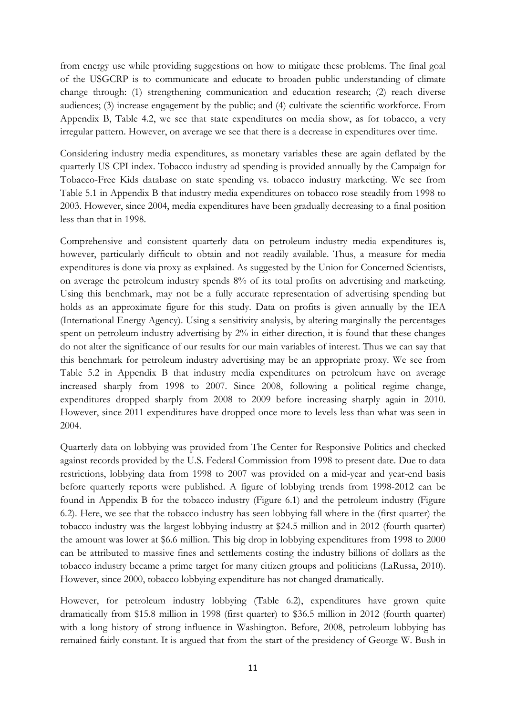from energy use while providing suggestions on how to mitigate these problems. The final goal of the USGCRP is to communicate and educate to broaden public understanding of climate change through: (1) strengthening communication and education research; (2) reach diverse audiences; (3) increase engagement by the public; and (4) cultivate the scientific workforce. From Appendix B, Table 4.2, we see that state expenditures on media show, as for tobacco, a very irregular pattern. However, on average we see that there is a decrease in expenditures over time.

Considering industry media expenditures, as monetary variables these are again deflated by the quarterly US CPI index. Tobacco industry ad spending is provided annually by the Campaign for Tobacco-Free Kids database on state spending vs. tobacco industry marketing. We see from Table 5.1 in Appendix B that industry media expenditures on tobacco rose steadily from 1998 to 2003. However, since 2004, media expenditures have been gradually decreasing to a final position less than that in 1998.

Comprehensive and consistent quarterly data on petroleum industry media expenditures is, however, particularly difficult to obtain and not readily available. Thus, a measure for media expenditures is done via proxy as explained. As suggested by the Union for Concerned Scientists, on average the petroleum industry spends 8% of its total profits on advertising and marketing. Using this benchmark, may not be a fully accurate representation of advertising spending but holds as an approximate figure for this study. Data on profits is given annually by the IEA (International Energy Agency). Using a sensitivity analysis, by altering marginally the percentages spent on petroleum industry advertising by  $2\%$  in either direction, it is found that these changes do not alter the significance of our results for our main variables of interest. Thus we can say that this benchmark for petroleum industry advertising may be an appropriate proxy. We see from Table 5.2 in Appendix B that industry media expenditures on petroleum have on average increased sharply from 1998 to 2007. Since 2008, following a political regime change, expenditures dropped sharply from 2008 to 2009 before increasing sharply again in 2010. However, since 2011 expenditures have dropped once more to levels less than what was seen in 2004.

Quarterly data on lobbying was provided from The Center for Responsive Politics and checked against records provided by the U.S. Federal Commission from 1998 to present date. Due to data restrictions, lobbying data from 1998 to 2007 was provided on a mid-year and year-end basis before quarterly reports were published. A figure of lobbying trends from 1998-2012 can be found in Appendix B for the tobacco industry (Figure 6.1) and the petroleum industry (Figure 6.2). Here, we see that the tobacco industry has seen lobbying fall where in the (first quarter) the tobacco industry was the largest lobbying industry at \$24.5 million and in 2012 (fourth quarter) the amount was lower at \$6.6 million. This big drop in lobbying expenditures from 1998 to 2000 can be attributed to massive fines and settlements costing the industry billions of dollars as the tobacco industry became a prime target for many citizen groups and politicians (LaRussa, 2010). However, since 2000, tobacco lobbying expenditure has not changed dramatically.

However, for petroleum industry lobbying (Table 6.2), expenditures have grown quite dramatically from \$15.8 million in 1998 (first quarter) to \$36.5 million in 2012 (fourth quarter) with a long history of strong influence in Washington. Before, 2008, petroleum lobbying has remained fairly constant. It is argued that from the start of the presidency of George W. Bush in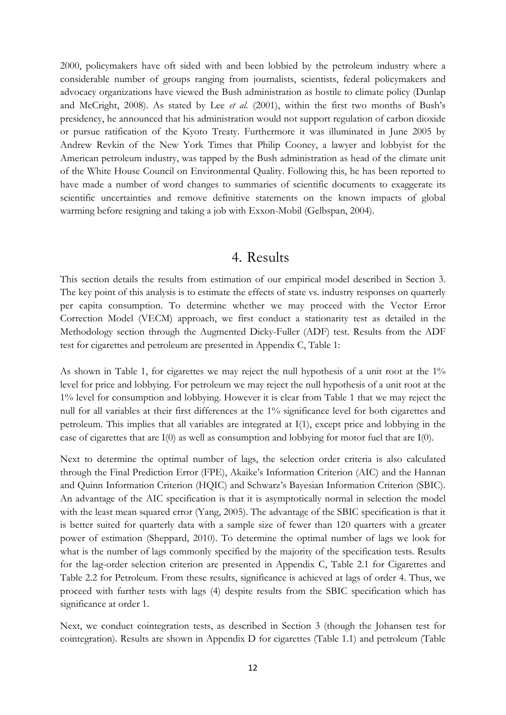2000, policymakers have oft sided with and been lobbied by the petroleum industry where a considerable number of groups ranging from journalists, scientists, federal policymakers and advocacy organizations have viewed the Bush administration as hostile to climate policy (Dunlap and McCright, 2008). As stated by Lee *et al.* (2001), within the first two months of Bush's presidency, he announced that his administration would not support regulation of carbon dioxide or pursue ratification of the Kyoto Treaty. Furthermore it was illuminated in June 2005 by Andrew Revkin of the New York Times that Philip Cooney, a lawyer and lobbyist for the American petroleum industry, was tapped by the Bush administration as head of the climate unit of the White House Council on Environmental Quality. Following this, he has been reported to have made a number of word changes to summaries of scientific documents to exaggerate its scientific uncertainties and remove definitive statements on the known impacts of global warming before resigning and taking a job with Exxon-Mobil (Gelbspan, 2004).

### 4. Results

This section details the results from estimation of our empirical model described in Section 3. The key point of this analysis is to estimate the effects of state vs. industry responses on quarterly per capita consumption. To determine whether we may proceed with the Vector Error Correction Model (VECM) approach, we first conduct a stationarity test as detailed in the Methodology section through the Augmented Dicky-Fuller (ADF) test. Results from the ADF test for cigarettes and petroleum are presented in Appendix C, Table 1:

As shown in Table 1, for cigarettes we may reject the null hypothesis of a unit root at the 1% level for price and lobbying. For petroleum we may reject the null hypothesis of a unit root at the 1% level for consumption and lobbying. However it is clear from Table 1 that we may reject the null for all variables at their first differences at the 1% significance level for both cigarettes and petroleum. This implies that all variables are integrated at I(1), except price and lobbying in the case of cigarettes that are  $I(0)$  as well as consumption and lobbying for motor fuel that are  $I(0)$ .

Next to determine the optimal number of lags, the selection order criteria is also calculated through the Final Prediction Error (FPE), Akaike's Information Criterion (AIC) and the Hannan and Quinn Information Criterion (HQIC) and Schwarz's Bayesian Information Criterion (SBIC). An advantage of the AIC specification is that it is asymptotically normal in selection the model with the least mean squared error (Yang, 2005). The advantage of the SBIC specification is that it is better suited for quarterly data with a sample size of fewer than 120 quarters with a greater power of estimation (Sheppard, 2010). To determine the optimal number of lags we look for what is the number of lags commonly specified by the majority of the specification tests. Results for the lag-order selection criterion are presented in Appendix C, Table 2.1 for Cigarettes and Table 2.2 for Petroleum. From these results, significance is achieved at lags of order 4. Thus, we proceed with further tests with lags (4) despite results from the SBIC specification which has significance at order 1.

Next, we conduct cointegration tests, as described in Section 3 (though the Johansen test for cointegration). Results are shown in Appendix D for cigarettes (Table 1.1) and petroleum (Table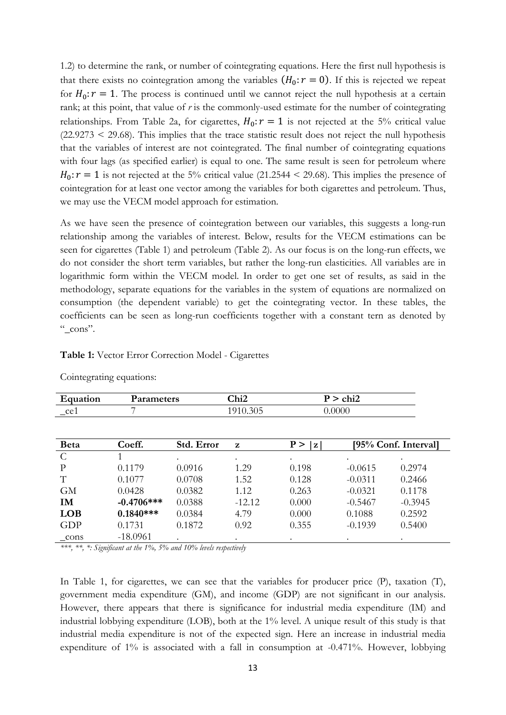1.2) to determine the rank, or number of cointegrating equations. Here the first null hypothesis is that there exists no cointegration among the variables  $(H_0: r = 0)$ . If this is rejected we repeat for  $H_0: r = 1$ . The process is continued until we cannot reject the null hypothesis at a certain rank; at this point, that value of *r* is the commonly-used estimate for the number of cointegrating relationships. From Table 2a, for cigarettes,  $H_0: r = 1$  is not rejected at the 5% critical value  $(22.9273 < 29.68)$ . This implies that the trace statistic result does not reject the null hypothesis that the variables of interest are not cointegrated. The final number of cointegrating equations with four lags (as specified earlier) is equal to one. The same result is seen for petroleum where  $H_0: r = 1$  is not rejected at the 5% critical value (21.2544 < 29.68). This implies the presence of cointegration for at least one vector among the variables for both cigarettes and petroleum. Thus, we may use the VECM model approach for estimation.

As we have seen the presence of cointegration between our variables, this suggests a long-run relationship among the variables of interest. Below, results for the VECM estimations can be seen for cigarettes (Table 1) and petroleum (Table 2). As our focus is on the long-run effects, we do not consider the short term variables, but rather the long-run elasticities. All variables are in logarithmic form within the VECM model. In order to get one set of results, as said in the methodology, separate equations for the variables in the system of equations are normalized on consumption (the dependent variable) to get the cointegrating vector. In these tables, the coefficients can be seen as long-run coefficients together with a constant tern as denoted by " $_{\rm cons}$ ".

#### **Table 1:** Vector Error Correction Model - Cigarettes

| Equation          | Parameters   |            | Chi <sub>2</sub> |                     | $P > \text{chi2}$ |                      |  |
|-------------------|--------------|------------|------------------|---------------------|-------------------|----------------------|--|
| $\mathsf{\_}$ ce1 | 7            |            | 1910.305         |                     | 0.0000            |                      |  |
|                   |              |            |                  |                     |                   |                      |  |
| <b>Beta</b>       | Coeff.       | Std. Error | z                | P ><br>$\mathbf{z}$ |                   | [95% Conf. Interval] |  |
| C                 |              | $\bullet$  | $\bullet$        | $\bullet$           | $\bullet$         | $\bullet$            |  |
| P                 | 0.1179       | 0.0916     | 1.29             | 0.198               | $-0.0615$         | 0.2974               |  |
| T                 | 0.1077       | 0.0708     | 1.52             | 0.128               | $-0.0311$         | 0.2466               |  |
| <b>GM</b>         | 0.0428       | 0.0382     | 1.12             | 0.263               | $-0.0321$         | 0.1178               |  |
| <b>IM</b>         | $-0.4706***$ | 0.0388     | $-12.12$         | 0.000               | $-0.5467$         | $-0.3945$            |  |
| <b>LOB</b>        | $0.1840***$  | 0.0384     | 4.79             | 0.000               | 0.1088            | 0.2592               |  |
| GDP               | 0.1731       | 0.1872     | 0.92             | 0.355               | $-0.1939$         | 0.5400               |  |
| cons              | $-18.0961$   |            | $\bullet$        |                     |                   |                      |  |

Cointegrating equations:

*\*\*\*, \*\*, \*: Significant at the 1%, 5% and 10% levels respectively*

In Table 1, for cigarettes, we can see that the variables for producer price (P), taxation (T), government media expenditure (GM), and income (GDP) are not significant in our analysis. However, there appears that there is significance for industrial media expenditure (IM) and industrial lobbying expenditure (LOB), both at the 1% level. A unique result of this study is that industrial media expenditure is not of the expected sign. Here an increase in industrial media expenditure of 1% is associated with a fall in consumption at -0.471%. However, lobbying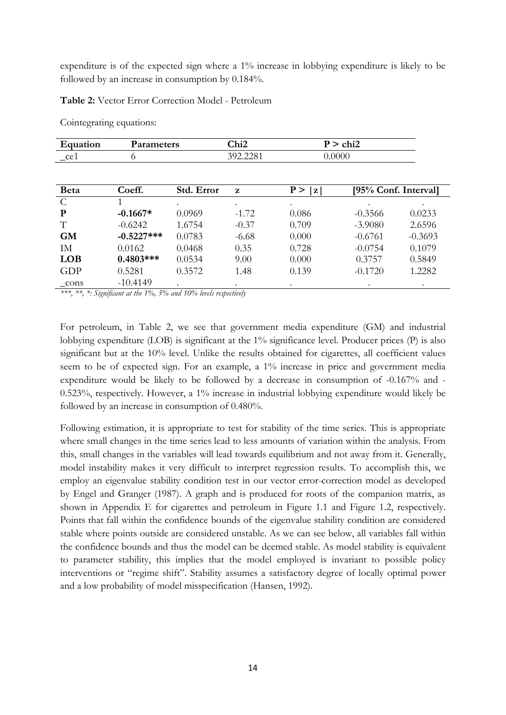expenditure is of the expected sign where a 1% increase in lobbying expenditure is likely to be followed by an increase in consumption by 0.184%.

**Table 2:** Vector Error Correction Model - Petroleum

| Equation         | Parameters   |            | Chi <sub>2</sub> | $P >$ chi2          |                      |           |
|------------------|--------------|------------|------------------|---------------------|----------------------|-----------|
| $\mathsf{\_}ce1$ | 0            |            | 392.2281         | 0.0000              |                      |           |
|                  |              |            |                  |                     |                      |           |
| <b>Beta</b>      | Coeff.       | Std. Error | $\mathbf{z}$     | P ><br>$\mathbf{z}$ | [95% Conf. Interval] |           |
| $\mathcal{C}$    |              |            |                  |                     |                      |           |
| P                | $-0.1667*$   | 0.0969     | $-1.72$          | 0.086               | $-0.3566$            | 0.0233    |
| T                | $-0.6242$    | 1.6754     | $-0.37$          | 0.709               | $-3.9080$            | 2.6596    |
| <b>GM</b>        | $-0.5227***$ | 0.0783     | $-6.68$          | 0.000               | $-0.6761$            | $-0.3693$ |
| IM               | 0.0162       | 0.0468     | 0.35             | 0.728               | $-0.0754$            | 0.1079    |
| <b>LOB</b>       | $0.4803***$  | 0.0534     | 9.00             | 0.000               | 0.3757               | 0.5849    |
| GDP              | 0.5281       | 0.3572     | 1.48             | 0.139               | $-0.1720$            | 1.2282    |
| cons             | $-10.4149$   |            |                  |                     |                      |           |

Cointegrating equations:

*\*\*\*, \*\*, \*: Significant at the 1%, 5% and 10% levels respectively*

For petroleum, in Table 2, we see that government media expenditure (GM) and industrial lobbying expenditure (LOB) is significant at the 1% significance level. Producer prices (P) is also significant but at the 10% level. Unlike the results obtained for cigarettes, all coefficient values seem to be of expected sign. For an example, a 1% increase in price and government media expenditure would be likely to be followed by a decrease in consumption of -0.167% and - 0.523%, respectively. However, a 1% increase in industrial lobbying expenditure would likely be followed by an increase in consumption of 0.480%.

Following estimation, it is appropriate to test for stability of the time series. This is appropriate where small changes in the time series lead to less amounts of variation within the analysis. From this, small changes in the variables will lead towards equilibrium and not away from it. Generally, model instability makes it very difficult to interpret regression results. To accomplish this, we employ an eigenvalue stability condition test in our vector error-correction model as developed by Engel and Granger (1987). A graph and is produced for roots of the companion matrix, as shown in Appendix E for cigarettes and petroleum in Figure 1.1 and Figure 1.2, respectively. Points that fall within the confidence bounds of the eigenvalue stability condition are considered stable where points outside are considered unstable. As we can see below, all variables fall within the confidence bounds and thus the model can be deemed stable. As model stability is equivalent to parameter stability, this implies that the model employed is invariant to possible policy interventions or "regime shift". Stability assumes a satisfactory degree of locally optimal power and a low probability of model misspecification (Hansen, 1992).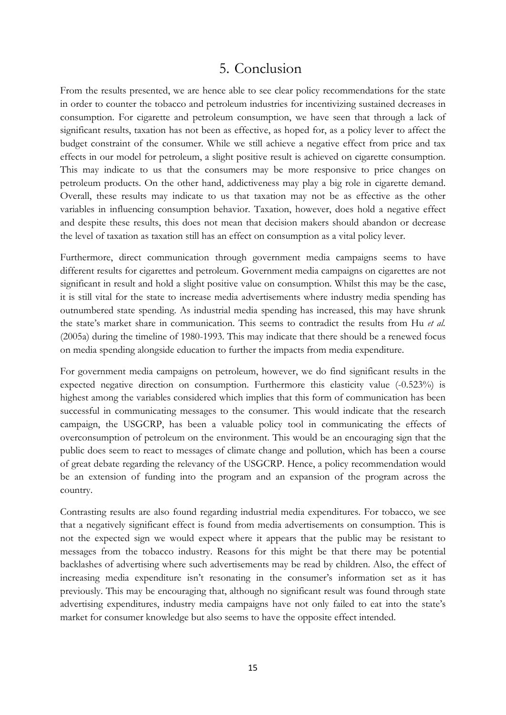## 5. Conclusion

From the results presented, we are hence able to see clear policy recommendations for the state in order to counter the tobacco and petroleum industries for incentivizing sustained decreases in consumption. For cigarette and petroleum consumption, we have seen that through a lack of significant results, taxation has not been as effective, as hoped for, as a policy lever to affect the budget constraint of the consumer. While we still achieve a negative effect from price and tax effects in our model for petroleum, a slight positive result is achieved on cigarette consumption. This may indicate to us that the consumers may be more responsive to price changes on petroleum products. On the other hand, addictiveness may play a big role in cigarette demand. Overall, these results may indicate to us that taxation may not be as effective as the other variables in influencing consumption behavior. Taxation, however, does hold a negative effect and despite these results, this does not mean that decision makers should abandon or decrease the level of taxation as taxation still has an effect on consumption as a vital policy lever.

Furthermore, direct communication through government media campaigns seems to have different results for cigarettes and petroleum. Government media campaigns on cigarettes are not significant in result and hold a slight positive value on consumption. Whilst this may be the case, it is still vital for the state to increase media advertisements where industry media spending has outnumbered state spending. As industrial media spending has increased, this may have shrunk the state's market share in communication. This seems to contradict the results from Hu *et al.* (2005a) during the timeline of 1980-1993. This may indicate that there should be a renewed focus on media spending alongside education to further the impacts from media expenditure.

For government media campaigns on petroleum, however, we do find significant results in the expected negative direction on consumption. Furthermore this elasticity value (-0.523%) is highest among the variables considered which implies that this form of communication has been successful in communicating messages to the consumer. This would indicate that the research campaign, the USGCRP, has been a valuable policy tool in communicating the effects of overconsumption of petroleum on the environment. This would be an encouraging sign that the public does seem to react to messages of climate change and pollution, which has been a course of great debate regarding the relevancy of the USGCRP. Hence, a policy recommendation would be an extension of funding into the program and an expansion of the program across the country.

Contrasting results are also found regarding industrial media expenditures. For tobacco, we see that a negatively significant effect is found from media advertisements on consumption. This is not the expected sign we would expect where it appears that the public may be resistant to messages from the tobacco industry. Reasons for this might be that there may be potential backlashes of advertising where such advertisements may be read by children. Also, the effect of increasing media expenditure isn't resonating in the consumer's information set as it has previously. This may be encouraging that, although no significant result was found through state advertising expenditures, industry media campaigns have not only failed to eat into the state's market for consumer knowledge but also seems to have the opposite effect intended.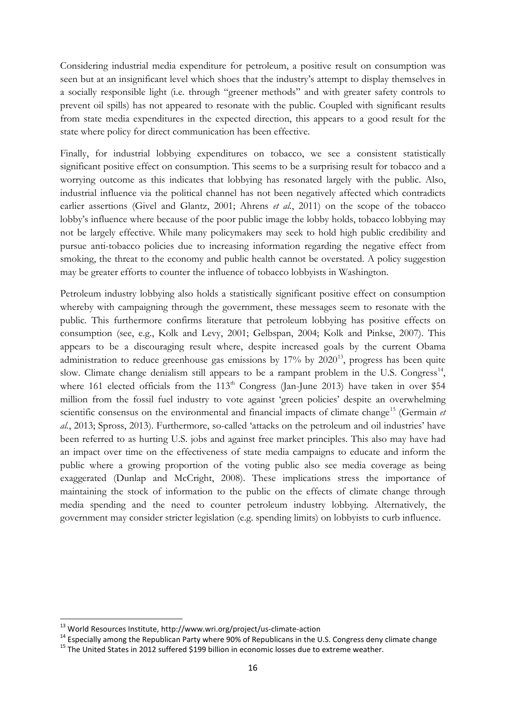Considering industrial media expenditure for petroleum, a positive result on consumption was seen but at an insignificant level which shoes that the industry's attempt to display themselves in a socially responsible light (i.e. through "greener methods" and with greater safety controls to prevent oil spills) has not appeared to resonate with the public. Coupled with significant results from state media expenditures in the expected direction, this appears to a good result for the state where policy for direct communication has been effective.

Finally, for industrial lobbying expenditures on tobacco, we see a consistent statistically significant positive effect on consumption. This seems to be a surprising result for tobacco and a worrying outcome as this indicates that lobbying has resonated largely with the public. Also, industrial influence via the political channel has not been negatively affected which contradicts earlier assertions (Givel and Glantz, 2001; Ahrens *et al.*, 2011) on the scope of the tobacco lobby's influence where because of the poor public image the lobby holds, tobacco lobbying may not be largely effective. While many policymakers may seek to hold high public credibility and pursue anti-tobacco policies due to increasing information regarding the negative effect from smoking, the threat to the economy and public health cannot be overstated. A policy suggestion may be greater efforts to counter the influence of tobacco lobbyists in Washington.

Petroleum industry lobbying also holds a statistically significant positive effect on consumption whereby with campaigning through the government, these messages seem to resonate with the public. This furthermore confirms literature that petroleum lobbying has positive effects on consumption (see, e.g., Kolk and Levy, 2001; Gelbspan, 2004; Kolk and Pinkse, 2007). This appears to be a discouraging result where, despite increased goals by the current Obama administration to reduce greenhouse gas emissions by  $17\%$  by  $2020^{13}$ , progress has been quite slow. Climate change denialism still appears to be a rampant problem in the U.S. Congress<sup>14</sup>, where 161 elected officials from the  $113<sup>th</sup>$  Congress (Jan-June 2013) have taken in over \$54 million from the fossil fuel industry to vote against 'green policies' despite an overwhelming scientific consensus on the environmental and financial impacts of climate change<sup>[15](#page-16-2)</sup> (Germain *et al.*, 2013; Spross, 2013). Furthermore, so-called 'attacks on the petroleum and oil industries' have been referred to as hurting U.S. jobs and against free market principles. This also may have had an impact over time on the effectiveness of state media campaigns to educate and inform the public where a growing proportion of the voting public also see media coverage as being exaggerated (Dunlap and McCright, 2008). These implications stress the importance of maintaining the stock of information to the public on the effects of climate change through media spending and the need to counter petroleum industry lobbying. Alternatively, the government may consider stricter legislation (e.g. spending limits) on lobbyists to curb influence.

<span id="page-16-1"></span><span id="page-16-0"></span><sup>&</sup>lt;sup>13</sup> World Resources Institute, http://www.wri.org/project/us-climate-action<br><sup>14</sup> Especially among the Republican Party where 90% of Republicans in the U.S. Congress deny climate change<br><sup>15</sup> The United States in 2012 suff

<span id="page-16-2"></span>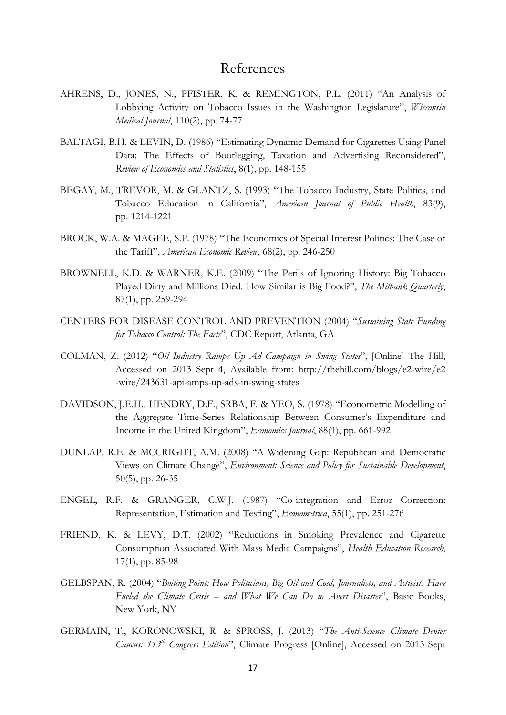## References

- AHRENS, D., JONES, N., PFISTER, K. & REMINGTON, P.L. (2011) "An Analysis of Lobbying Activity on Tobacco Issues in the Washington Legislature", *Wisconsin Medical Journal*, 110(2), pp. 74-77
- BALTAGI, B.H. & LEVIN, D. (1986) "Estimating Dynamic Demand for Cigarettes Using Panel Data: The Effects of Bootlegging, Taxation and Advertising Reconsidered", *Review of Economics and Statistics*, 8(1), pp. 148-155
- BEGAY, M., TREVOR, M. & GLANTZ, S. (1993) "The Tobacco Industry, State Politics, and Tobacco Education in California", *American Journal of Public Health*, 83(9), pp. 1214-1221
- BROCK, W.A. & MAGEE, S.P. (1978) "The Economics of Special Interest Politics: The Case of the Tariff", *American Economic Review*, 68(2), pp. 246-250
- BROWNELL, K.D. & WARNER, K.E. (2009) "The Perils of Ignoring History: Big Tobacco Played Dirty and Millions Died. How Similar is Big Food?", *The Milbank Quarterly*, 87(1), pp. 259-294
- CENTERS FOR DISEASE CONTROL AND PREVENTION (2004) "*Sustaining State Funding for Tobacco Control: The Facts*", CDC Report, Atlanta, GA
- COLMAN, Z. (2012) "*Oil Industry Ramps Up Ad Campaign in Swing States*", [Online] The Hill, Accessed on 2013 Sept 4, Available from: http://thehill.com/blogs/e2-wire/e2 -wire/243631-api-amps-up-ads-in-swing-states
- DAVIDSON, J.E.H., HENDRY, D.F., SRBA, F. & YEO, S. (1978) "Econometric Modelling of the Aggregate Time-Series Relationship Between Consumer's Expenditure and Income in the United Kingdom", *Economics Journal*, 88(1), pp. 661-992
- DUNLAP, R.E. & MCCRIGHT, A.M. (2008) "A Widening Gap: Republican and Democratic Views on Climate Change", *Environment: Science and Policy for Sustainable Development*, 50(5), pp. 26-35
- ENGEL, R.F. & GRANGER, C.W.J. (1987) "Co-integration and Error Correction: Representation, Estimation and Testing", *Econometrica*, 55(1), pp. 251-276
- FRIEND, K. & LEVY, D.T. (2002) "Reductions in Smoking Prevalence and Cigarette Consumption Associated With Mass Media Campaigns", *Health Education Research*, 17(1), pp. 85-98
- GELBSPAN, R. (2004) "*Boiling Point: How Politicians, Big Oil and Coal, Journalists, and Activists Have Fueled the Climate Crisis – and What We Can Do to Avert Disaster*", Basic Books, New York, NY
- GERMAIN, T., KORONOWSKI, R. & SPROSS, J. (2013) "*The Anti-Science Climate Denier Caucus: 113<sup>th</sup> Congress Edition*", Climate Progress [Online], Accessed on 2013 Sept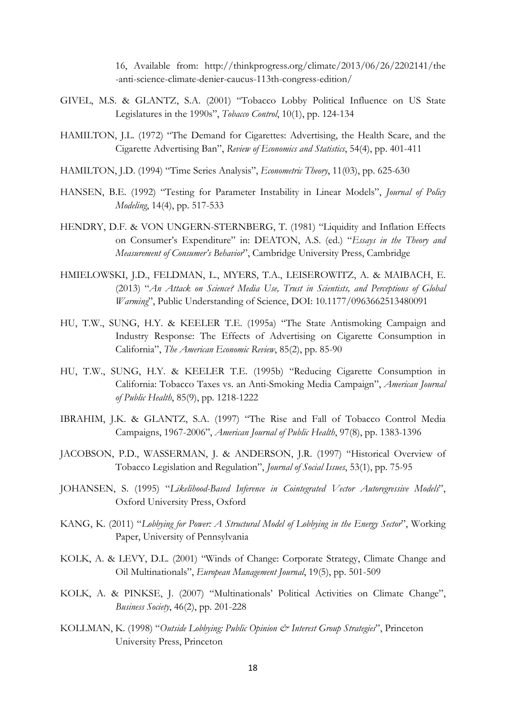16, Available from: http://thinkprogress.org/climate/2013/06/26/2202141/the -anti-science-climate-denier-caucus-113th-congress-edition/

- GIVEL, M.S. & GLANTZ, S.A. (2001) "Tobacco Lobby Political Influence on US State Legislatures in the 1990s", *Tobacco Control*, 10(1), pp. 124-134
- HAMILTON, J.L. (1972) "The Demand for Cigarettes: Advertising, the Health Scare, and the Cigarette Advertising Ban", *Review of Economics and Statistics*, 54(4), pp. 401-411
- HAMILTON, J.D. (1994) "Time Series Analysis", *Econometric Theory*, 11(03), pp. 625-630
- HANSEN, B.E. (1992) "Testing for Parameter Instability in Linear Models", *Journal of Policy Modeling*, 14(4), pp. 517-533
- HENDRY, D.F. & VON UNGERN-STERNBERG, T. (1981) "Liquidity and Inflation Effects on Consumer's Expenditure" in: DEATON, A.S. (ed.) "*Essays in the Theory and Measurement of Consumer's Behavior*", Cambridge University Press, Cambridge
- HMIELOWSKI, J.D., FELDMAN, L., MYERS, T.A., LEISEROWITZ, A. & MAIBACH, E. (2013) "*An Attack on Science? Media Use, Trust in Scientists, and Perceptions of Global Warming*", Public Understanding of Science, DOI: 10.1177/0963662513480091
- HU, T.W., SUNG, H.Y. & KEELER T.E. (1995a) "The State Antismoking Campaign and Industry Response: The Effects of Advertising on Cigarette Consumption in California", *The American Economic Review*, 85(2), pp. 85-90
- HU, T.W., SUNG, H.Y. & KEELER T.E. (1995b) "Reducing Cigarette Consumption in California: Tobacco Taxes vs. an Anti-Smoking Media Campaign", *American Journal of Public Health*, 85(9), pp. 1218-1222
- IBRAHIM, J.K. & GLANTZ, S.A. (1997) "The Rise and Fall of Tobacco Control Media Campaigns, 1967-2006", *American Journal of Public Health*, 97(8), pp. 1383-1396
- JACOBSON, P.D., WASSERMAN, J. & ANDERSON, J.R. (1997) "Historical Overview of Tobacco Legislation and Regulation", *Journal of Social Issues*, 53(1), pp. 75-95
- JOHANSEN, S. (1995) "*Likelihood-Based Inference in Cointegrated Vector Autoregressive Models*", Oxford University Press, Oxford
- KANG, K. (2011) "*Lobbying for Power: A Structural Model of Lobbying in the Energy Sector*", Working Paper, University of Pennsylvania
- KOLK, A. & LEVY, D.L. (2001) "Winds of Change: Corporate Strategy, Climate Change and Oil Multinationals", *European Management Journal*, 19(5), pp. 501-509
- KOLK, A. & PINKSE, J. (2007) "Multinationals' Political Activities on Climate Change", *Business Society*, 46(2), pp. 201-228
- KOLLMAN, K. (1998) "*Outside Lobbying: Public Opinion & Interest Group Strategies*", Princeton University Press, Princeton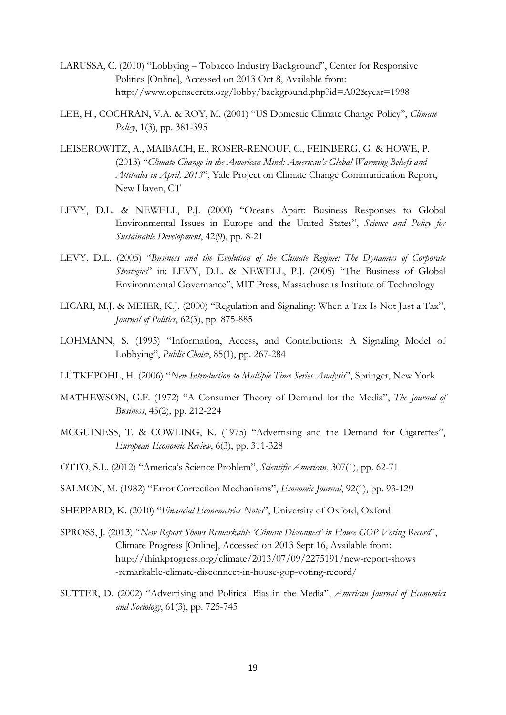- LARUSSA, C. (2010) "Lobbying Tobacco Industry Background", Center for Responsive Politics [Online], Accessed on 2013 Oct 8, Available from: http://www.opensecrets.org/lobby/background.php?id=A02&year=1998
- LEE, H., COCHRAN, V.A. & ROY, M. (2001) "US Domestic Climate Change Policy", *Climate Policy*, 1(3), pp. 381-395
- LEISEROWITZ, A., MAIBACH, E., ROSER-RENOUF, C., FEINBERG, G. & HOWE, P. (2013) "*Climate Change in the American Mind: American's Global Warming Beliefs and Attitudes in April, 2013*", Yale Project on Climate Change Communication Report, New Haven, CT
- LEVY, D.L. & NEWELL, P.J. (2000) "Oceans Apart: Business Responses to Global Environmental Issues in Europe and the United States", *Science and Policy for Sustainable Development*, 42(9), pp. 8-21
- LEVY, D.L. (2005) "*Business and the Evolution of the Climate Regime: The Dynamics of Corporate Strategies*" in: LEVY, D.L. & NEWELL, P.J. (2005) "The Business of Global Environmental Governance", MIT Press, Massachusetts Institute of Technology
- LICARI, M.J. & MEIER, K.J. (2000) "Regulation and Signaling: When a Tax Is Not Just a Tax", *Journal of Politics*, 62(3), pp. 875-885
- LOHMANN, S. (1995) "Information, Access, and Contributions: A Signaling Model of Lobbying", *Public Choice*, 85(1), pp. 267-284
- LÜTKEPOHL, H. (2006) "*New Introduction to Multiple Time Series Analysis*", Springer, New York
- MATHEWSON, G.F. (1972) "A Consumer Theory of Demand for the Media", *The Journal of Business*, 45(2), pp. 212-224
- MCGUINESS, T. & COWLING, K. (1975) "Advertising and the Demand for Cigarettes", *European Economic Review*, 6(3), pp. 311-328
- OTTO, S.L. (2012) "America's Science Problem", *Scientific American*, 307(1), pp. 62-71
- SALMON, M. (1982) "Error Correction Mechanisms", *Economic Journal*, 92(1), pp. 93-129
- SHEPPARD, K. (2010) "*Financial Econometrics Notes*", University of Oxford, Oxford
- SPROSS, J. (2013) "*New Report Shows Remarkable 'Climate Disconnect' in House GOP Voting Record*", Climate Progress [Online], Accessed on 2013 Sept 16, Available from: http://thinkprogress.org/climate/2013/07/09/2275191/new-report-shows -remarkable-climate-disconnect-in-house-gop-voting-record/
- SUTTER, D. (2002) "Advertising and Political Bias in the Media", *American Journal of Economics and Sociology*, 61(3), pp. 725-745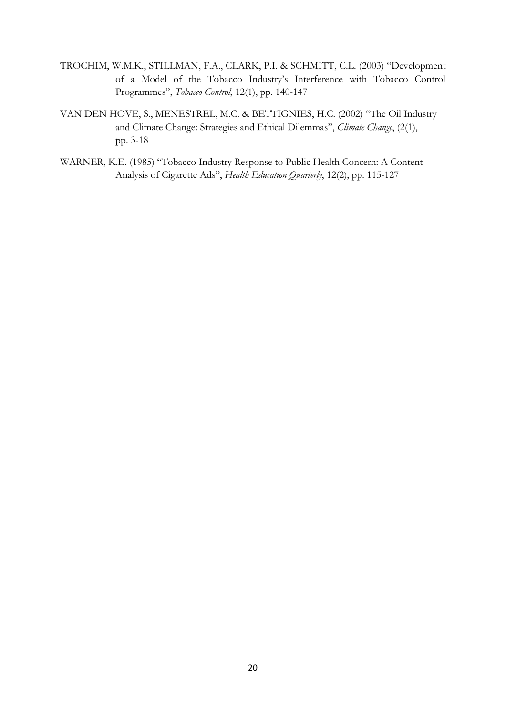- TROCHIM, W.M.K., STILLMAN, F.A., CLARK, P.I. & SCHMITT, C.L. (2003) "Development of a Model of the Tobacco Industry's Interference with Tobacco Control Programmes", *Tobacco Control*, 12(1), pp. 140-147
- VAN DEN HOVE, S., MENESTREL, M.C. & BETTIGNIES, H.C. (2002) "The Oil Industry and Climate Change: Strategies and Ethical Dilemmas", *Climate Change*, (2(1), pp. 3-18
- WARNER, K.E. (1985) "Tobacco Industry Response to Public Health Concern: A Content Analysis of Cigarette Ads", *Health Education Quarterly*, 12(2), pp. 115-127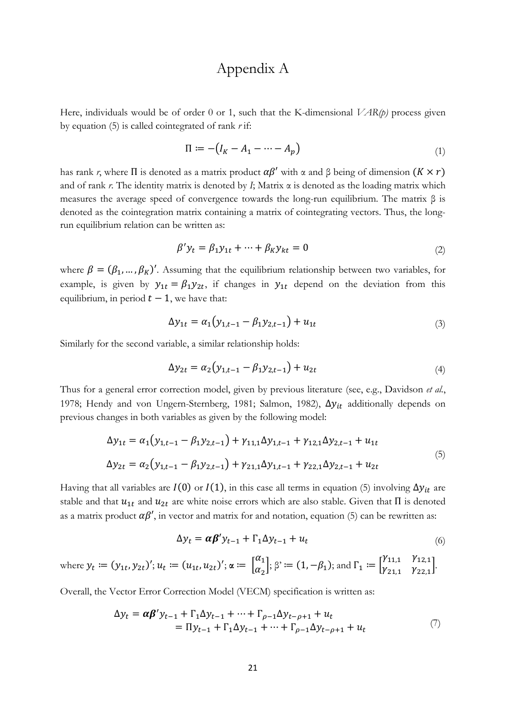## Appendix A

Here, individuals would be of order 0 or 1, such that the K-dimensional *VAR(p)* process given by equation (5) is called cointegrated of rank *r* if:

$$
\Pi := -\big(I_K - A_1 - \dots - A_p\big) \tag{1}
$$

has rank *r*, where  $\Pi$  is denoted as a matrix product  $\alpha \beta'$  with  $\alpha$  and  $\beta$  being of dimension  $(K \times r)$ and of rank  $r$ . The identity matrix is denoted by  $I$ ; Matrix  $\alpha$  is denoted as the loading matrix which measures the average speed of convergence towards the long-run equilibrium. The matrix β is denoted as the cointegration matrix containing a matrix of cointegrating vectors. Thus, the longrun equilibrium relation can be written as:

$$
\beta' y_t = \beta_1 y_{1t} + \dots + \beta_K y_{kt} = 0 \tag{2}
$$

where  $\beta = (\beta_1, ..., \beta_K)'$ . Assuming that the equilibrium relationship between two variables, for example, is given by  $y_{1t} = \beta_1 y_{2t}$ , if changes in  $y_{1t}$  depend on the deviation from this equilibrium, in period  $t - 1$ , we have that:

$$
\Delta y_{1t} = \alpha_1 (y_{1,t-1} - \beta_1 y_{2,t-1}) + u_{1t} \tag{3}
$$

Similarly for the second variable, a similar relationship holds:

$$
\Delta y_{2t} = \alpha_2 (y_{1,t-1} - \beta_1 y_{2,t-1}) + u_{2t} \tag{4}
$$

Thus for a general error correction model, given by previous literature (see, e.g., Davidson *et al.*, 1978; Hendy and von Ungern-Sternberg, 1981; Salmon, 1982),  $\Delta y_{it}$  additionally depends on previous changes in both variables as given by the following model:

$$
\Delta y_{1t} = \alpha_1 (y_{1,t-1} - \beta_1 y_{2,t-1}) + \gamma_{11,1} \Delta y_{1,t-1} + \gamma_{12,1} \Delta y_{2,t-1} + u_{1t}
$$
  
\n
$$
\Delta y_{2t} = \alpha_2 (y_{1,t-1} - \beta_1 y_{2,t-1}) + \gamma_{21,1} \Delta y_{1,t-1} + \gamma_{22,1} \Delta y_{2,t-1} + u_{2t}
$$
\n(5)

Having that all variables are  $I(0)$  or  $I(1)$ , in this case all terms in equation (5) involving  $\Delta y_{it}$  are stable and that  $u_{1t}$  and  $u_{2t}$  are white noise errors which are also stable. Given that  $\Pi$  is denoted as a matrix product  $\alpha \beta'$ , in vector and matrix for and notation, equation (5) can be rewritten as:

$$
\Delta y_t = \alpha \beta' y_{t-1} + \Gamma_1 \Delta y_{t-1} + u_t \tag{6}
$$

where 
$$
y_t := (y_{1t}, y_{2t})'
$$
;  $u_t := (u_{1t}, u_{2t})'$ ;  $\alpha := \begin{bmatrix} \alpha_1 \\ \alpha_2 \end{bmatrix}$ ;  $\beta' := (1, -\beta_1)$ ; and  $\Gamma_1 := \begin{bmatrix} \gamma_{11,1} & \gamma_{12,1} \\ \gamma_{21,1} & \gamma_{22,1} \end{bmatrix}$ .

Overall, the Vector Error Correction Model (VECM) specification is written as:

$$
\Delta y_t = \alpha \beta' y_{t-1} + \Gamma_1 \Delta y_{t-1} + \dots + \Gamma_{\rho-1} \Delta y_{t-\rho+1} + u_t
$$
  
=  $\Pi y_{t-1} + \Gamma_1 \Delta y_{t-1} + \dots + \Gamma_{\rho-1} \Delta y_{t-\rho+1} + u_t$  (7)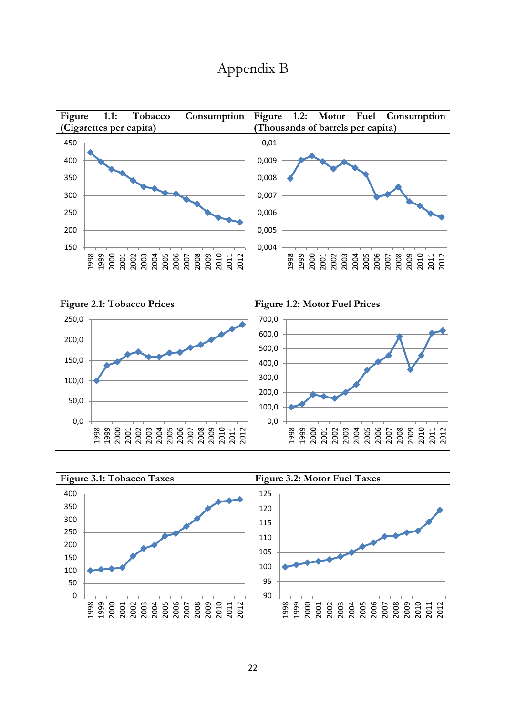## Appendix B





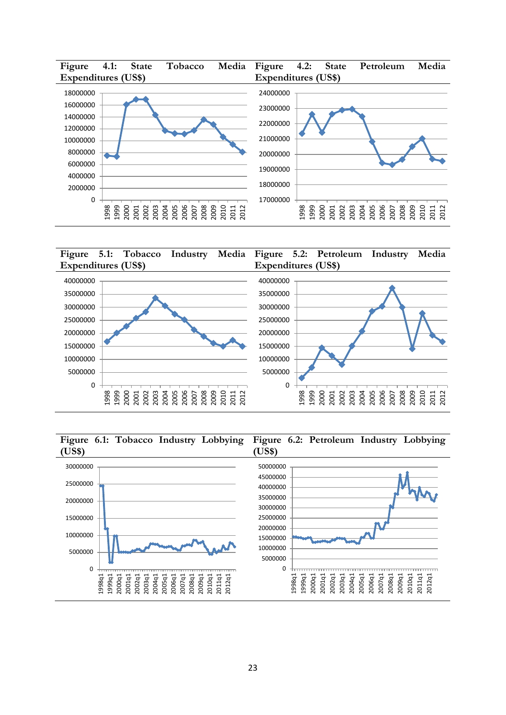



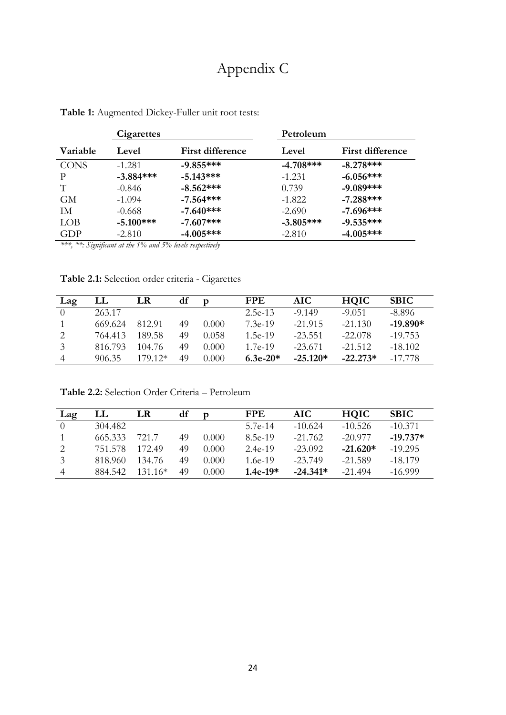# Appendix C

|             | Cigarettes  |                              | Petroleum    |                  |  |  |
|-------------|-------------|------------------------------|--------------|------------------|--|--|
| Variable    | Level       | <b>First difference</b>      | Level        | First difference |  |  |
| <b>CONS</b> | $-1.281$    | $-9.855***$                  | $-4.708$ *** | $-8.278***$      |  |  |
| P           | $-3.884***$ | $-5.143***$                  | $-1.231$     | $-6.056***$      |  |  |
| T           | $-0.846$    | $-8.562***$                  | 0.739        | $-9.089***$      |  |  |
| <b>GM</b>   | $-1.094$    | $-7.564***$                  | $-1.822$     | $-7.288***$      |  |  |
| IM.         | $-0.668$    | $-7.640***$                  | $-2.690$     | $-7.696***$      |  |  |
| <b>LOB</b>  | $-5.100***$ | $-7.607***$                  | $-3.805***$  | $-9.535***$      |  |  |
| GDP         | $-2.810$    | $-4.005***$<br>1 FOI 1 1 1 1 | $-2.810$     | $-4.005***$      |  |  |

**Table 1:** Augmented Dickey-Fuller unit root tests:

*\*\*\*, \*\*: Significant at the 1% and 5% levels respectively*

**Table 2.1:** Selection order criteria - Cigarettes

| Lag              | LL      | LR       | df |       | <b>FPE</b> | AIC-       | <b>HOIC</b> | <b>SBIC</b> |
|------------------|---------|----------|----|-------|------------|------------|-------------|-------------|
| $\left( \right)$ | 263.17  |          |    |       | $2.5e-13$  | $-9149$    | $-9.051$    | $-8.896$    |
|                  | 669.624 | 812.91   | 49 | 0.000 | $7.3e-19$  | $-21.915$  | $-21.130$   | $-19.890*$  |
|                  | 764.413 | 189.58   | 49 | 0.058 | $1.5e-19$  | $-23.551$  | $-22.078$   | $-19.753$   |
| 3                | 816.793 | 104.76   | 49 | 0.000 | $1.7e-19$  | $-23.671$  | $-21.512$   | $-18.102$   |
| $\overline{4}$   | 906.35  | $17912*$ | 49 | 0.000 | $6.3e-20*$ | $-25.120*$ | $-22.273*$  | -17 778     |

**Table 2.2:** Selection Order Criteria – Petroleum

| Lag            | LL      | LR        | df | D     | <b>FPE</b> | AIC.       | <b>HQIC</b> | <b>SBIC</b> |
|----------------|---------|-----------|----|-------|------------|------------|-------------|-------------|
| $\Omega$       | 304.482 |           |    |       | 5.7e-14    | $-10.624$  | $-10.526$   | $-10.371$   |
|                | 665.333 | 7217      | 49 | 0.000 | 8.5e-19    | $-21.762$  | $-20977$    | $-19.737*$  |
|                | 751.578 | 172.49    | 49 | 0.000 | $2.4e-19$  | $-23.092$  | $-21.620*$  | $-19.295$   |
| 3              | 818.960 | 134.76    | 49 | 0.000 | 1.6e-19    | $-23.749$  | $-21.589$   | $-18.179$   |
| $\overline{4}$ | 884.542 | $131.16*$ | 49 | 0.000 | $1.4e-19*$ | $-24.341*$ | $-21494$    | $-16.999$   |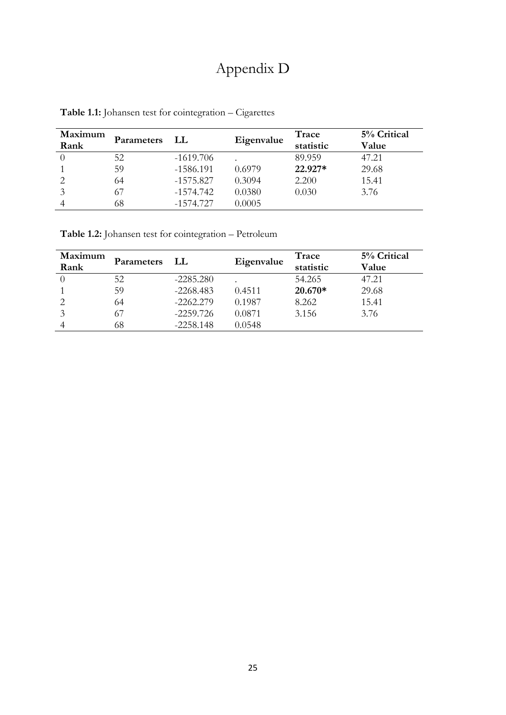# Appendix D

| Maximum<br>Rank | Parameters | - LL        | Eigenvalue | Trace<br>statistic | 5% Critical<br>Value |
|-----------------|------------|-------------|------------|--------------------|----------------------|
|                 | 52         | $-1619.706$ |            | 89.959             | 47.21                |
|                 | 59         | $-1586.191$ | 0.6979     | 22.927*            | 29.68                |
|                 | 64         | $-1575.827$ | 0.3094     | 2.200              | 15.41                |
|                 | 67         | $-1574.742$ | 0.0380     | 0.030              | 3.76                 |
|                 | 68         | $-1574.727$ | 0.0005     |                    |                      |

**Table 1.1:** Johansen test for cointegration – Cigarettes

**Table 1.2:** Johansen test for cointegration – Petroleum

| Maximum<br>Rank | <b>Parameters</b> | LL          | Eigenvalue | Trace<br>statistic | 5% Critical<br>Value |
|-----------------|-------------------|-------------|------------|--------------------|----------------------|
|                 | 52                | $-2285.280$ |            | 54.265             | 47.21                |
|                 | 59                | $-2268.483$ | 0.4511     | $20.670*$          | 29.68                |
|                 | 64                | $-2262.279$ | 0.1987     | 8.262              | 15.41                |
|                 | 67                | $-2259.726$ | 0.0871     | 3.156              | 3.76                 |
|                 | 68                | $-2258.148$ | 0.0548     |                    |                      |